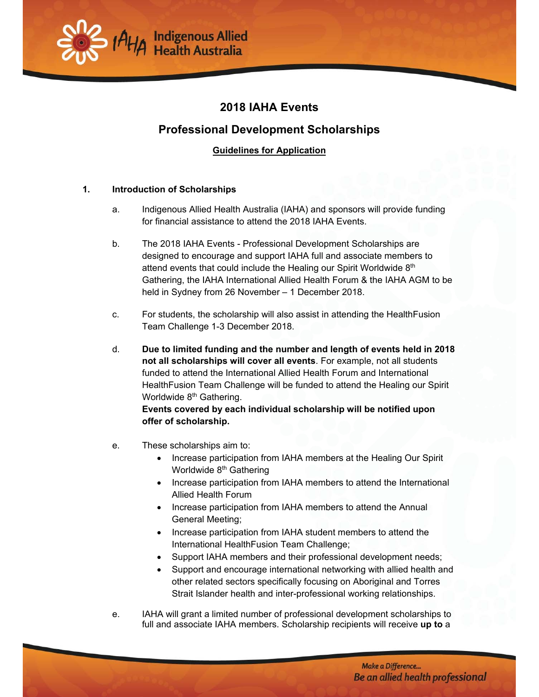

# **2018 IAHA Events**

# **Professional Development Scholarships**

# **Guidelines for Application**

## **1. Introduction of Scholarships**

- a. Indigenous Allied Health Australia (IAHA) and sponsors will provide funding for financial assistance to attend the 2018 IAHA Events.
- b. The 2018 IAHA Events Professional Development Scholarships are designed to encourage and support IAHA full and associate members to attend events that could include the Healing our Spirit Worldwide 8<sup>th</sup> Gathering, the IAHA International Allied Health Forum & the IAHA AGM to be held in Sydney from 26 November – 1 December 2018.
- c. For students, the scholarship will also assist in attending the HealthFusion Team Challenge 1-3 December 2018.
- d. **Due to limited funding and the number and length of events held in 2018 not all scholarships will cover all events**. For example, not all students funded to attend the International Allied Health Forum and International HealthFusion Team Challenge will be funded to attend the Healing our Spirit Worldwide 8<sup>th</sup> Gathering.

**Events covered by each individual scholarship will be notified upon offer of scholarship.** 

- e. These scholarships aim to:
	- Increase participation from IAHA members at the Healing Our Spirit Worldwide 8<sup>th</sup> Gathering
	- Increase participation from IAHA members to attend the International Allied Health Forum
	- Increase participation from IAHA members to attend the Annual General Meeting;
	- Increase participation from IAHA student members to attend the International HealthFusion Team Challenge;
	- Support IAHA members and their professional development needs;
	- Support and encourage international networking with allied health and other related sectors specifically focusing on Aboriginal and Torres Strait Islander health and inter-professional working relationships.
- e. IAHA will grant a limited number of professional development scholarships to full and associate IAHA members. Scholarship recipients will receive **up to** a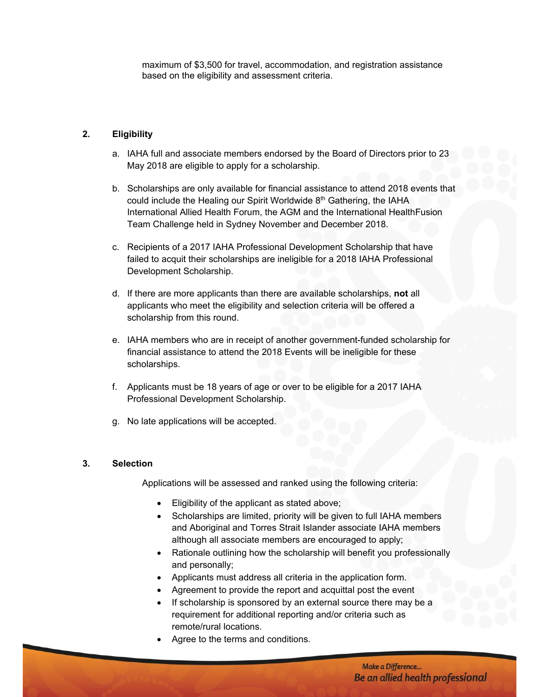maximum of \$3,500 for travel, accommodation, and registration assistance based on the eligibility and assessment criteria.

### **2. Eligibility**

- a. IAHA full and associate members endorsed by the Board of Directors prior to 23 May 2018 are eligible to apply for a scholarship.
- b. Scholarships are only available for financial assistance to attend 2018 events that could include the Healing our Spirit Worldwide 8<sup>th</sup> Gathering, the IAHA International Allied Health Forum, the AGM and the International HealthFusion Team Challenge held in Sydney November and December 2018.
- c. Recipients of a 2017 IAHA Professional Development Scholarship that have failed to acquit their scholarships are ineligible for a 2018 IAHA Professional Development Scholarship.
- d. If there are more applicants than there are available scholarships, **not** all applicants who meet the eligibility and selection criteria will be offered a scholarship from this round.
- e. IAHA members who are in receipt of another government-funded scholarship for financial assistance to attend the 2018 Events will be ineligible for these scholarships.
- f. Applicants must be 18 years of age or over to be eligible for a 2017 IAHA Professional Development Scholarship.
- g. No late applications will be accepted.

#### **3. Selection**

Applications will be assessed and ranked using the following criteria:

- Eligibility of the applicant as stated above;
- Scholarships are limited, priority will be given to full IAHA members and Aboriginal and Torres Strait Islander associate IAHA members although all associate members are encouraged to apply;
- Rationale outlining how the scholarship will benefit you professionally and personally;
- Applicants must address all criteria in the application form.
- Agreement to provide the report and acquittal post the event
- If scholarship is sponsored by an external source there may be a requirement for additional reporting and/or criteria such as remote/rural locations.
- Agree to the terms and conditions.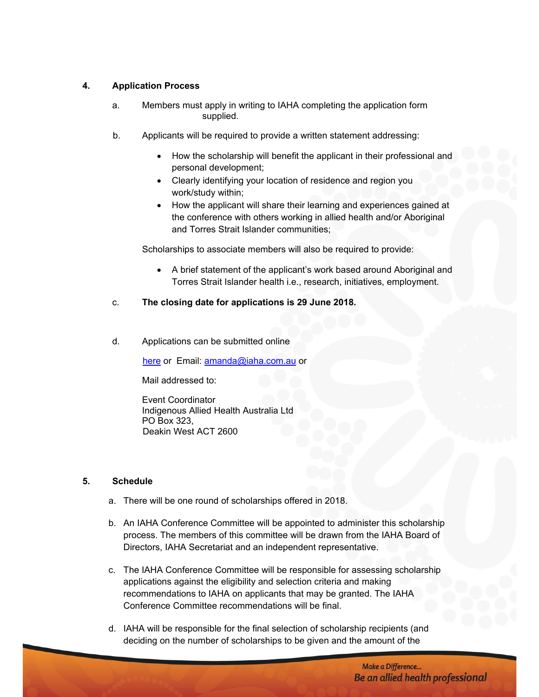## **4. Application Process**

- a. Members must apply in writing to IAHA completing the application form supplied.
- b. Applicants will be required to provide a written statement addressing:
	- How the scholarship will benefit the applicant in their professional and personal development;
	- Clearly identifying your location of residence and region you work/study within;
	- How the applicant will share their learning and experiences gained at the conference with others working in allied health and/or Aboriginal and Torres Strait Islander communities;

Scholarships to associate members will also be required to provide:

- A brief statement of the applicant's work based around Aboriginal and Torres Strait Islander health i.e., research, initiatives, employment.
- c. **The closing date for applications is 29 June 2018.**
- d. Applications can be submitted online

here or Email: amanda@iaha.com.au or

Mail addressed to:

Event Coordinator Indigenous Allied Health Australia Ltd PO Box 323, Deakin West ACT 2600

# **5. Schedule**

- a. There will be one round of scholarships offered in 2018.
- b. An IAHA Conference Committee will be appointed to administer this scholarship process. The members of this committee will be drawn from the IAHA Board of Directors, IAHA Secretariat and an independent representative.
- c. The IAHA Conference Committee will be responsible for assessing scholarship applications against the eligibility and selection criteria and making recommendations to IAHA on applicants that may be granted. The IAHA Conference Committee recommendations will be final.
- d. IAHA will be responsible for the final selection of scholarship recipients (and deciding on the number of scholarships to be given and the amount of the